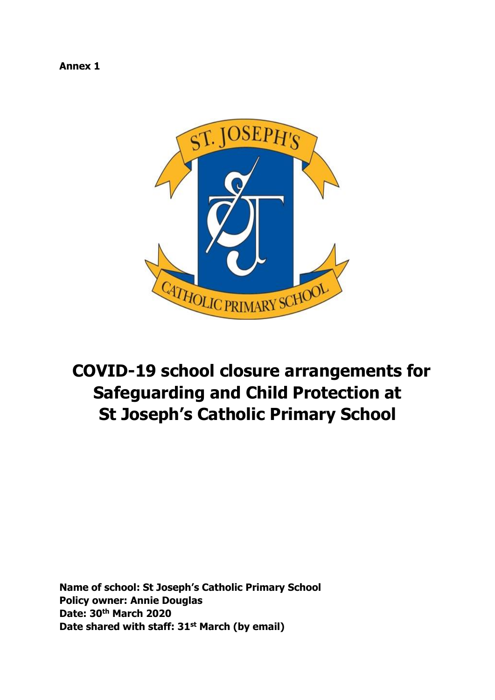**Annex 1** 



# **COVID-19 school closure arrangements for Safeguarding and Child Protection at St Joseph's Catholic Primary School**

**Name of school: St Joseph's Catholic Primary School Policy owner: Annie Douglas Date: 30th March 2020 Date shared with staff: 31st March (by email)**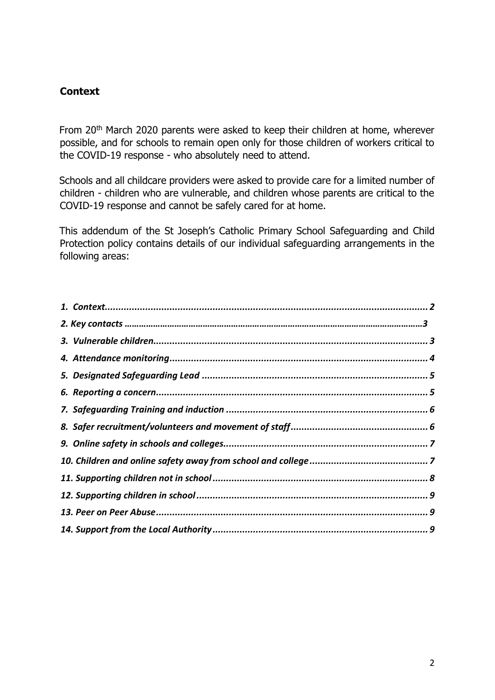#### <span id="page-1-0"></span>**Context**

From 20<sup>th</sup> March 2020 parents were asked to keep their children at home, wherever possible, and for schools to remain open only for those children of workers critical to the COVID-19 response - who absolutely need to attend.

Schools and all childcare providers were asked to provide care for a limited number of children - children who are vulnerable, and children whose parents are critical to the COVID-19 response and cannot be safely cared for at home.

This addendum of the St Joseph's Catholic Primary School Safeguarding and Child Protection policy contains details of our individual safeguarding arrangements in the following areas: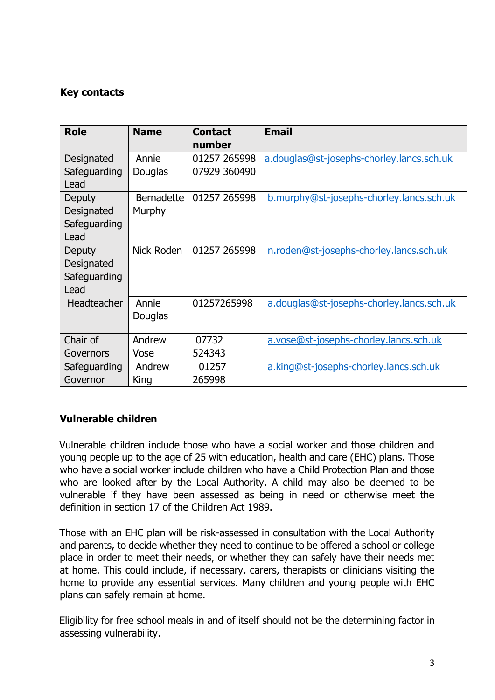## **Key contacts**

| <b>Role</b>          | <b>Name</b>       | <b>Contact</b><br>number | <b>Email</b>                              |
|----------------------|-------------------|--------------------------|-------------------------------------------|
| Designated           | Annie             | 01257 265998             | a.douglas@st-josephs-chorley.lancs.sch.uk |
| Safeguarding<br>Lead | Douglas           | 07929 360490             |                                           |
| Deputy               | <b>Bernadette</b> | 01257 265998             | b.murphy@st-josephs-chorley.lancs.sch.uk  |
| Designated           | Murphy            |                          |                                           |
| Safeguarding<br>Lead |                   |                          |                                           |
| <b>Deputy</b>        | Nick Roden        | 01257 265998             | n.roden@st-josephs-chorley.lancs.sch.uk   |
| Designated           |                   |                          |                                           |
| Safeguarding         |                   |                          |                                           |
| Lead                 |                   |                          |                                           |
| Headteacher          | Annie             | 01257265998              | a.douglas@st-josephs-chorley.lancs.sch.uk |
|                      | Douglas           |                          |                                           |
| Chair of             | Andrew            | 07732                    | a.vose@st-josephs-chorley.lancs.sch.uk    |
| Governors            | Vose              | 524343                   |                                           |
| Safeguarding         | Andrew            | 01257                    | a.king@st-josephs-chorley.lancs.sch.uk    |
| Governor             | King              | 265998                   |                                           |

## <span id="page-2-0"></span>**Vulnerable children**

Vulnerable children include those who have a social worker and those children and young people up to the age of 25 with education, health and care (EHC) plans. Those who have a social worker include children who have a Child Protection Plan and those who are looked after by the Local Authority. A child may also be deemed to be vulnerable if they have been assessed as being in need or otherwise meet the definition in section 17 of the Children Act 1989.

Those with an EHC plan will be risk-assessed in consultation with the Local Authority and parents, to decide whether they need to continue to be offered a school or college place in order to meet their needs, or whether they can safely have their needs met at home. This could include, if necessary, carers, therapists or clinicians visiting the home to provide any essential services. Many children and young people with EHC plans can safely remain at home.

Eligibility for free school meals in and of itself should not be the determining factor in assessing vulnerability.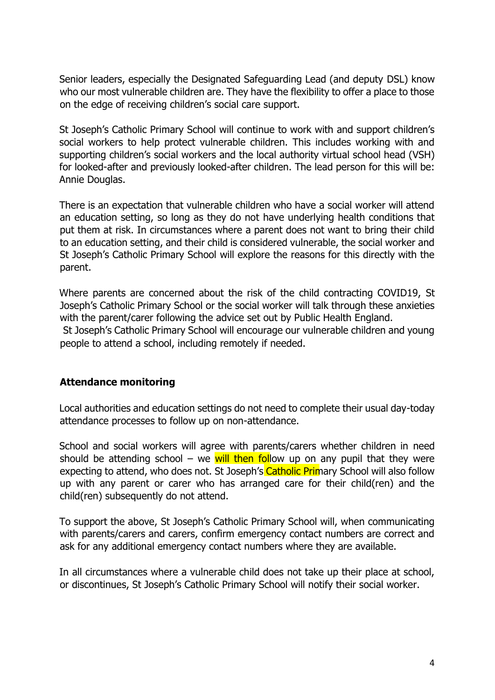Senior leaders, especially the Designated Safeguarding Lead (and deputy DSL) know who our most vulnerable children are. They have the flexibility to offer a place to those on the edge of receiving children's social care support.

St Joseph's Catholic Primary School will continue to work with and support children's social workers to help protect vulnerable children. This includes working with and supporting children's social workers and the local authority virtual school head (VSH) for looked-after and previously looked-after children. The lead person for this will be: Annie Douglas.

There is an expectation that vulnerable children who have a social worker will attend an education setting, so long as they do not have underlying health conditions that put them at risk. In circumstances where a parent does not want to bring their child to an education setting, and their child is considered vulnerable, the social worker and St Joseph's Catholic Primary School will explore the reasons for this directly with the parent.

Where parents are concerned about the risk of the child contracting COVID19, St Joseph's Catholic Primary School or the social worker will talk through these anxieties with the parent/carer following the advice set out by Public Health England.

St Joseph's Catholic Primary School will encourage our vulnerable children and young people to attend a school, including remotely if needed.

#### <span id="page-3-0"></span>**Attendance monitoring**

Local authorities and education settings do not need to complete their usual day-today attendance processes to follow up on non-attendance.

School and social workers will agree with parents/carers whether children in need should be attending school – we will then follow up on any pupil that they were expecting to attend, who does not. St Joseph's Catholic Primary School will also follow up with any parent or carer who has arranged care for their child(ren) and the child(ren) subsequently do not attend.

To support the above, St Joseph's Catholic Primary School will, when communicating with parents/carers and carers, confirm emergency contact numbers are correct and ask for any additional emergency contact numbers where they are available.

In all circumstances where a vulnerable child does not take up their place at school, or discontinues, St Joseph's Catholic Primary School will notify their social worker.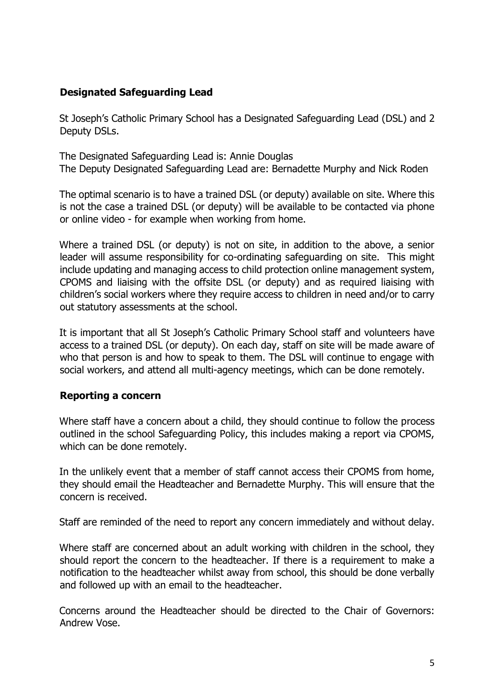## <span id="page-4-0"></span>**Designated Safeguarding Lead**

St Joseph's Catholic Primary School has a Designated Safeguarding Lead (DSL) and 2 Deputy DSLs.

The Designated Safeguarding Lead is: Annie Douglas The Deputy Designated Safeguarding Lead are: Bernadette Murphy and Nick Roden

The optimal scenario is to have a trained DSL (or deputy) available on site. Where this is not the case a trained DSL (or deputy) will be available to be contacted via phone or online video - for example when working from home.

Where a trained DSL (or deputy) is not on site, in addition to the above, a senior leader will assume responsibility for co-ordinating safeguarding on site. This might include updating and managing access to child protection online management system, CPOMS and liaising with the offsite DSL (or deputy) and as required liaising with children's social workers where they require access to children in need and/or to carry out statutory assessments at the school.

It is important that all St Joseph's Catholic Primary School staff and volunteers have access to a trained DSL (or deputy). On each day, staff on site will be made aware of who that person is and how to speak to them. The DSL will continue to engage with social workers, and attend all multi-agency meetings, which can be done remotely.

#### <span id="page-4-1"></span>**Reporting a concern**

Where staff have a concern about a child, they should continue to follow the process outlined in the school Safeguarding Policy, this includes making a report via CPOMS, which can be done remotely.

In the unlikely event that a member of staff cannot access their CPOMS from home, they should email the Headteacher and Bernadette Murphy. This will ensure that the concern is received.

Staff are reminded of the need to report any concern immediately and without delay.

Where staff are concerned about an adult working with children in the school, they should report the concern to the headteacher. If there is a requirement to make a notification to the headteacher whilst away from school, this should be done verbally and followed up with an email to the headteacher.

Concerns around the Headteacher should be directed to the Chair of Governors: Andrew Vose.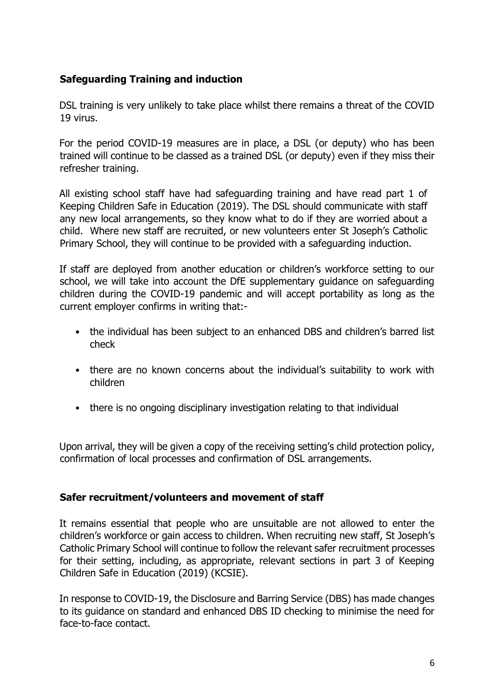## <span id="page-5-0"></span>**Safeguarding Training and induction**

DSL training is very unlikely to take place whilst there remains a threat of the COVID 19 virus.

For the period COVID-19 measures are in place, a DSL (or deputy) who has been trained will continue to be classed as a trained DSL (or deputy) even if they miss their refresher training.

All existing school staff have had safeguarding training and have read part 1 of Keeping Children Safe in Education (2019). The DSL should communicate with staff any new local arrangements, so they know what to do if they are worried about a child. Where new staff are recruited, or new volunteers enter St Joseph's Catholic Primary School, they will continue to be provided with a safeguarding induction.

If staff are deployed from another education or children's workforce setting to our school, we will take into account the DfE supplementary guidance on safeguarding children during the COVID-19 pandemic and will accept portability as long as the current employer confirms in writing that:-

- the individual has been subject to an enhanced DBS and children's barred list check
- there are no known concerns about the individual's suitability to work with children
- there is no ongoing disciplinary investigation relating to that individual

Upon arrival, they will be given a copy of the receiving setting's child protection policy, confirmation of local processes and confirmation of DSL arrangements.

#### <span id="page-5-1"></span>**Safer recruitment/volunteers and movement of staff**

It remains essential that people who are unsuitable are not allowed to enter the children's workforce or gain access to children. When recruiting new staff, St Joseph's Catholic Primary School will continue to follow the relevant safer recruitment processes for their setting, including, as appropriate, relevant sections in part 3 of Keeping Children Safe in Education (2019) (KCSIE).

In response to COVID-19, the Disclosure and Barring Service (DBS) has made changes to its guidance on standard and enhanced DBS ID checking to minimise the need for face-to-face contact.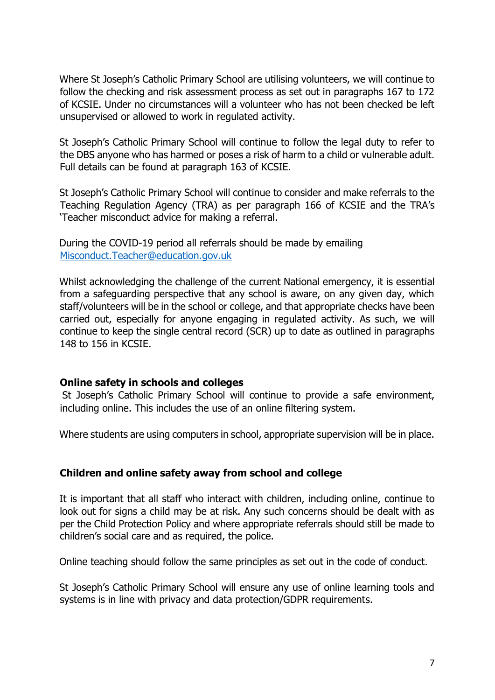Where St Joseph's Catholic Primary School are utilising volunteers, we will continue to follow the checking and risk assessment process as set out in paragraphs 167 to 172 of KCSIE. Under no circumstances will a volunteer who has not been checked be left unsupervised or allowed to work in regulated activity.

St Joseph's Catholic Primary School will continue to follow the legal duty to refer to the DBS anyone who has harmed or poses a risk of harm to a child or vulnerable adult. Full details can be found at paragraph 163 of KCSIE.

St Joseph's Catholic Primary School will continue to consider and make referrals to the Teaching Regulation Agency (TRA) as per paragraph 166 of KCSIE and the TRA's 'Teacher misconduct advice for making a referral.

During the COVID-19 period all referrals should be made by emailing Misconduct.Teacher@education.gov.uk

Whilst acknowledging the challenge of the current National emergency, it is essential from a safeguarding perspective that any school is aware, on any given day, which staff/volunteers will be in the school or college, and that appropriate checks have been carried out, especially for anyone engaging in regulated activity. As such, we will continue to keep the single central record (SCR) up to date as outlined in paragraphs 148 to 156 in KCSIE.

#### <span id="page-6-0"></span>**Online safety in schools and colleges**

St Joseph's Catholic Primary School will continue to provide a safe environment, including online. This includes the use of an online filtering system.

Where students are using computers in school, appropriate supervision will be in place.

#### <span id="page-6-1"></span>**Children and online safety away from school and college**

It is important that all staff who interact with children, including online, continue to look out for signs a child may be at risk. Any such concerns should be dealt with as per the Child Protection Policy and where appropriate referrals should still be made to children's social care and as required, the police.

Online teaching should follow the same principles as set out in the code of conduct.

St Joseph's Catholic Primary School will ensure any use of online learning tools and systems is in line with privacy and data protection/GDPR requirements.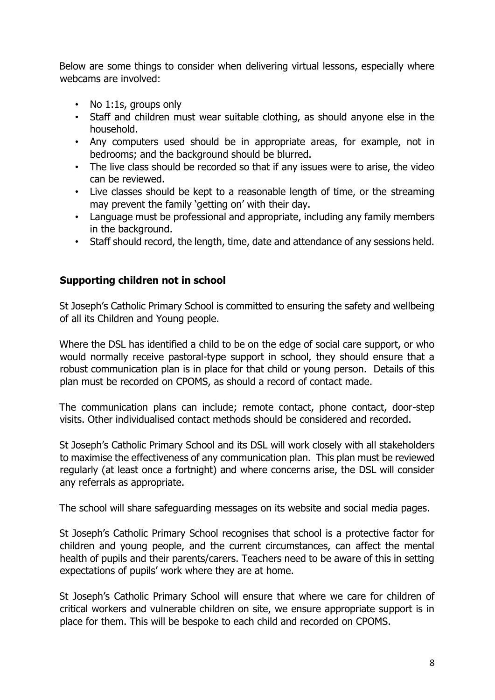Below are some things to consider when delivering virtual lessons, especially where webcams are involved:

- No 1:1s, groups only
- Staff and children must wear suitable clothing, as should anyone else in the household.
- Any computers used should be in appropriate areas, for example, not in bedrooms; and the background should be blurred.
- The live class should be recorded so that if any issues were to arise, the video can be reviewed.
- Live classes should be kept to a reasonable length of time, or the streaming may prevent the family 'getting on' with their day.
- Language must be professional and appropriate, including any family members in the background.
- Staff should record, the length, time, date and attendance of any sessions held.

### <span id="page-7-0"></span>**Supporting children not in school**

St Joseph's Catholic Primary School is committed to ensuring the safety and wellbeing of all its Children and Young people.

Where the DSL has identified a child to be on the edge of social care support, or who would normally receive pastoral-type support in school, they should ensure that a robust communication plan is in place for that child or young person. Details of this plan must be recorded on CPOMS, as should a record of contact made.

The communication plans can include; remote contact, phone contact, door-step visits. Other individualised contact methods should be considered and recorded.

St Joseph's Catholic Primary School and its DSL will work closely with all stakeholders to maximise the effectiveness of any communication plan. This plan must be reviewed regularly (at least once a fortnight) and where concerns arise, the DSL will consider any referrals as appropriate.

The school will share safeguarding messages on its website and social media pages.

St Joseph's Catholic Primary School recognises that school is a protective factor for children and young people, and the current circumstances, can affect the mental health of pupils and their parents/carers. Teachers need to be aware of this in setting expectations of pupils' work where they are at home.

St Joseph's Catholic Primary School will ensure that where we care for children of critical workers and vulnerable children on site, we ensure appropriate support is in place for them. This will be bespoke to each child and recorded on CPOMS.